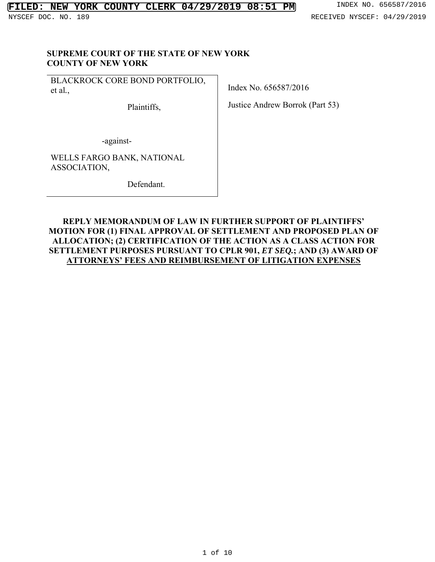#### **SUPREME COURT OF THE STATE OF NEW YORK COUNTY OF NEW YORK**

BLACKROCK CORE BOND PORTFOLIO, et al*.*,

Plaintiffs,

Index No. 656587/2016

Justice Andrew Borrok (Part 53)

-against-

WELLS FARGO BANK, NATIONAL ASSOCIATION,

Defendant.

## **REPLY MEMORANDUM OF LAW IN FURTHER SUPPORT OF PLAINTIFFS' MOTION FOR (1) FINAL APPROVAL OF SETTLEMENT AND PROPOSED PLAN OF ALLOCATION; (2) CERTIFICATION OF THE ACTION AS A CLASS ACTION FOR SETTLEMENT PURPOSES PURSUANT TO CPLR 901,** *ET SEQ.***; AND (3) AWARD OF ATTORNEYS' FEES AND REIMBURSEMENT OF LITIGATION EXPENSES**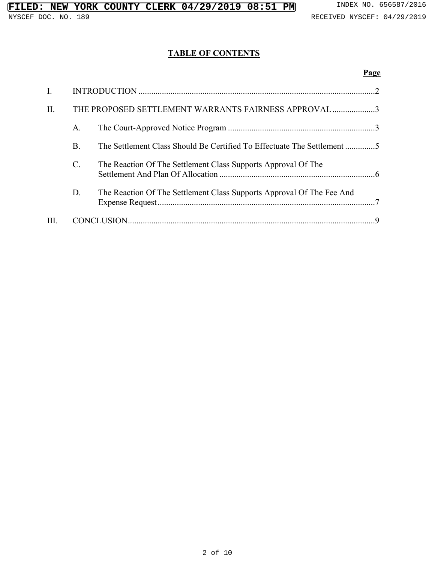# **TABLE OF CONTENTS**

## **Page**

| I.  |                                                      |                                                                         |
|-----|------------------------------------------------------|-------------------------------------------------------------------------|
| II. | THE PROPOSED SETTLEMENT WARRANTS FAIRNESS APPROVAL 3 |                                                                         |
|     | Α.                                                   |                                                                         |
|     | <b>B.</b>                                            | The Settlement Class Should Be Certified To Effectuate The Settlement 5 |
|     | $\mathcal{C}$ .                                      | The Reaction Of The Settlement Class Supports Approval Of The           |
|     | D.                                                   | The Reaction Of The Settlement Class Supports Approval Of The Fee And   |
| Ш.  |                                                      |                                                                         |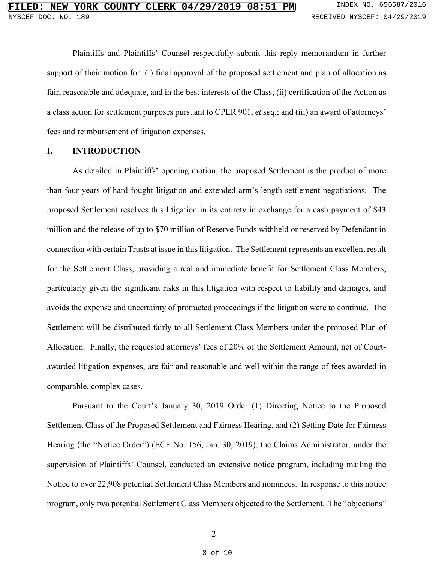Plaintiffs and Plaintiffs' Counsel respectfully submit this reply memorandum in further support of their motion for: (i) final approval of the proposed settlement and plan of allocation as fair, reasonable and adequate, and in the best interests of the Class; (ii) certification of the Action as a class action for settlement purposes pursuant to CPLR 901, *et seq.*; and (iii) an award of attorneys' fees and reimbursement of litigation expenses.

#### **I. INTRODUCTION**

As detailed in Plaintiffs' opening motion, the proposed Settlement is the product of more than four years of hard-fought litigation and extended arm's-length settlement negotiations. The proposed Settlement resolves this litigation in its entirety in exchange for a cash payment of \$43 million and the release of up to \$70 million of Reserve Funds withheld or reserved by Defendant in connection with certain Trusts at issue in this litigation. The Settlement represents an excellent result for the Settlement Class, providing a real and immediate benefit for Settlement Class Members, particularly given the significant risks in this litigation with respect to liability and damages, and avoids the expense and uncertainty of protracted proceedings if the litigation were to continue. The Settlement will be distributed fairly to all Settlement Class Members under the proposed Plan of Allocation. Finally, the requested attorneys' fees of 20% of the Settlement Amount, net of Courtawarded litigation expenses, are fair and reasonable and well within the range of fees awarded in comparable, complex cases.

Pursuant to the Court's January 30, 2019 Order (1) Directing Notice to the Proposed Settlement Class of the Proposed Settlement and Fairness Hearing, and (2) Setting Date for Fairness Hearing (the "Notice Order") (ECF No. 156, Jan. 30, 2019), the Claims Administrator, under the supervision of Plaintiffs' Counsel, conducted an extensive notice program, including mailing the Notice to over 22,908 potential Settlement Class Members and nominees. In response to this notice program, only two potential Settlement Class Members objected to the Settlement. The "objections"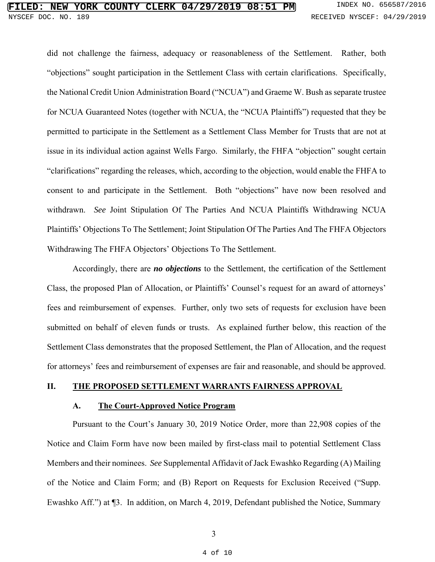# **FIRE COUNTY CLERK 04/29/2019 08:51 PM** INDEX NO. 656587/2016 NYSCEF DOC. NO. 189 RECEIVED NYSCEF: 04/29/2019

did not challenge the fairness, adequacy or reasonableness of the Settlement. Rather, both "objections" sought participation in the Settlement Class with certain clarifications. Specifically, the National Credit Union Administration Board ("NCUA") and Graeme W. Bush as separate trustee for NCUA Guaranteed Notes (together with NCUA, the "NCUA Plaintiffs") requested that they be permitted to participate in the Settlement as a Settlement Class Member for Trusts that are not at issue in its individual action against Wells Fargo. Similarly, the FHFA "objection" sought certain "clarifications" regarding the releases, which, according to the objection, would enable the FHFA to consent to and participate in the Settlement. Both "objections" have now been resolved and withdrawn. *See* Joint Stipulation Of The Parties And NCUA Plaintiffs Withdrawing NCUA Plaintiffs' Objections To The Settlement; Joint Stipulation Of The Parties And The FHFA Objectors Withdrawing The FHFA Objectors' Objections To The Settlement.

Accordingly, there are *no objections* to the Settlement, the certification of the Settlement Class, the proposed Plan of Allocation, or Plaintiffs' Counsel's request for an award of attorneys' fees and reimbursement of expenses. Further, only two sets of requests for exclusion have been submitted on behalf of eleven funds or trusts. As explained further below, this reaction of the Settlement Class demonstrates that the proposed Settlement, the Plan of Allocation, and the request for attorneys' fees and reimbursement of expenses are fair and reasonable, and should be approved.

### **II. THE PROPOSED SETTLEMENT WARRANTS FAIRNESS APPROVAL**

#### **A. The Court-Approved Notice Program**

Pursuant to the Court's January 30, 2019 Notice Order, more than 22,908 copies of the Notice and Claim Form have now been mailed by first-class mail to potential Settlement Class Members and their nominees. *See* Supplemental Affidavit of Jack Ewashko Regarding (A) Mailing of the Notice and Claim Form; and (B) Report on Requests for Exclusion Received ("Supp. Ewashko Aff.") at ¶3. In addition, on March 4, 2019, Defendant published the Notice, Summary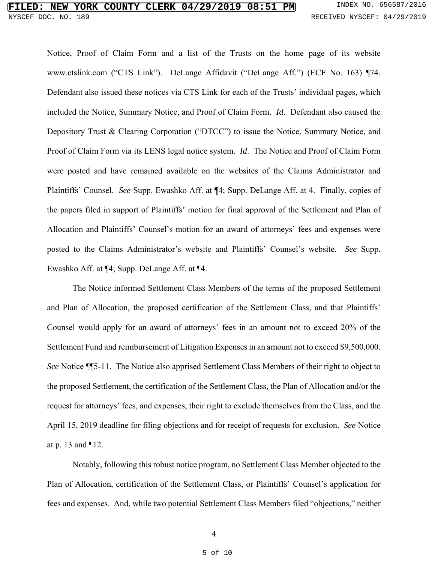## **FIRE COUNTY CLERK 04/29/2019 08:51 PM** INDEX NO. 656587/2016 NYSCEF DOC. NO. 189 RECEIVED NYSCEF: 04/29/2019

Notice, Proof of Claim Form and a list of the Trusts on the home page of its website www.ctslink.com ("CTS Link"). DeLange Affidavit ("DeLange Aff.") (ECF No. 163) ¶74. Defendant also issued these notices via CTS Link for each of the Trusts' individual pages, which included the Notice, Summary Notice, and Proof of Claim Form. *Id*. Defendant also caused the Depository Trust & Clearing Corporation ("DTCC") to issue the Notice, Summary Notice, and Proof of Claim Form via its LENS legal notice system. *Id*. The Notice and Proof of Claim Form were posted and have remained available on the websites of the Claims Administrator and Plaintiffs' Counsel. *See* Supp. Ewashko Aff. at ¶4; Supp. DeLange Aff. at 4. Finally, copies of the papers filed in support of Plaintiffs' motion for final approval of the Settlement and Plan of Allocation and Plaintiffs' Counsel's motion for an award of attorneys' fees and expenses were posted to the Claims Administrator's website and Plaintiffs' Counsel's website. *See* Supp. Ewashko Aff. at ¶4; Supp. DeLange Aff. at ¶4.

The Notice informed Settlement Class Members of the terms of the proposed Settlement and Plan of Allocation, the proposed certification of the Settlement Class, and that Plaintiffs' Counsel would apply for an award of attorneys' fees in an amount not to exceed 20% of the Settlement Fund and reimbursement of Litigation Expenses in an amount not to exceed \$9,500,000. *See* Notice ¶¶5-11. The Notice also apprised Settlement Class Members of their right to object to the proposed Settlement, the certification of the Settlement Class, the Plan of Allocation and/or the request for attorneys' fees, and expenses, their right to exclude themselves from the Class, and the April 15, 2019 deadline for filing objections and for receipt of requests for exclusion. *See* Notice at p. 13 and ¶12.

Notably, following this robust notice program, no Settlement Class Member objected to the Plan of Allocation, certification of the Settlement Class, or Plaintiffs' Counsel's application for fees and expenses. And, while two potential Settlement Class Members filed "objections," neither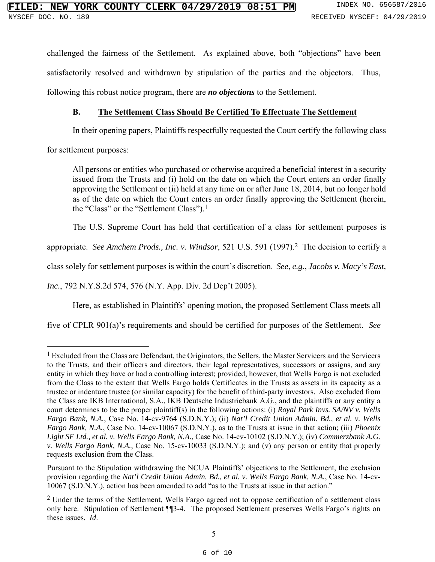challenged the fairness of the Settlement. As explained above, both "objections" have been satisfactorily resolved and withdrawn by stipulation of the parties and the objectors. Thus, following this robust notice program, there are *no objections* to the Settlement.

### **B. The Settlement Class Should Be Certified To Effectuate The Settlement**

In their opening papers, Plaintiffs respectfully requested the Court certify the following class

for settlement purposes:

1

All persons or entities who purchased or otherwise acquired a beneficial interest in a security issued from the Trusts and (i) hold on the date on which the Court enters an order finally approving the Settlement or (ii) held at any time on or after June 18, 2014, but no longer hold as of the date on which the Court enters an order finally approving the Settlement (herein, the "Class" or the "Settlement Class").1

The U.S. Supreme Court has held that certification of a class for settlement purposes is

appropriate. *See Amchem Prods., Inc. v. Windsor*, 521 U.S. 591 (1997).2 The decision to certify a

class solely for settlement purposes is within the court's discretion. *See*, *e.g.*, *Jacobs v. Macy's East,* 

*Inc.*, 792 N.Y.S.2d 574, 576 (N.Y. App. Div. 2d Dep't 2005).

Here, as established in Plaintiffs' opening motion, the proposed Settlement Class meets all

five of CPLR 901(a)'s requirements and should be certified for purposes of the Settlement. *See*

 $<sup>1</sup>$  Excluded from the Class are Defendant, the Originators, the Sellers, the Master Servicers and the Servicers</sup> to the Trusts, and their officers and directors, their legal representatives, successors or assigns, and any entity in which they have or had a controlling interest; provided, however, that Wells Fargo is not excluded from the Class to the extent that Wells Fargo holds Certificates in the Trusts as assets in its capacity as a trustee or indenture trustee (or similar capacity) for the benefit of third-party investors. Also excluded from the Class are IKB International, S.A., IKB Deutsche Industriebank A.G., and the plaintiffs or any entity a court determines to be the proper plaintiff(s) in the following actions: (i) *Royal Park Invs. SA/NV v. Wells Fargo Bank, N.A.*, Case No. 14-cv-9764 (S.D.N.Y.); (ii) *Nat'l Credit Union Admin. Bd., et al. v. Wells Fargo Bank, N.A.*, Case No. 14-cv-10067 (S.D.N.Y.), as to the Trusts at issue in that action; (iii) *Phoenix Light SF Ltd., et al. v. Wells Fargo Bank, N.A.*, Case No. 14-cv-10102 (S.D.N.Y.); (iv) *Commerzbank A.G. v. Wells Fargo Bank, N.A.*, Case No. 15-cv-10033 (S.D.N.Y.); and (v) any person or entity that properly requests exclusion from the Class.

Pursuant to the Stipulation withdrawing the NCUA Plaintiffs' objections to the Settlement, the exclusion provision regarding the *Nat'l Credit Union Admin. Bd., et al. v. Wells Fargo Bank, N.A.*, Case No. 14-cv-10067 (S.D.N.Y.), action has been amended to add "as to the Trusts at issue in that action."

<sup>&</sup>lt;sup>2</sup> Under the terms of the Settlement, Wells Fargo agreed not to oppose certification of a settlement class only here. Stipulation of Settlement ¶¶3-4. The proposed Settlement preserves Wells Fargo's rights on these issues. *Id*.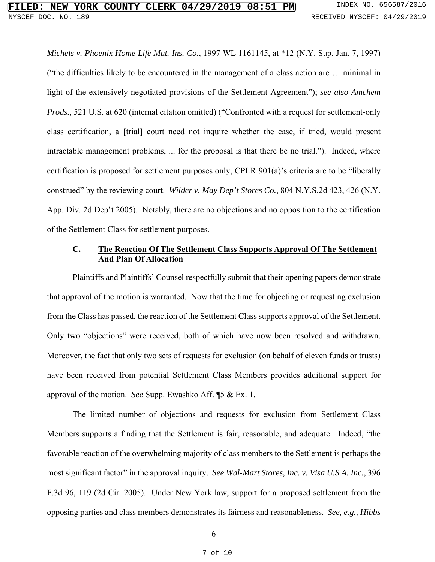*Michels v. Phoenix Home Life Mut. Ins. Co.*, 1997 WL 1161145, at \*12 (N.Y. Sup. Jan. 7, 1997) ("the difficulties likely to be encountered in the management of a class action are … minimal in light of the extensively negotiated provisions of the Settlement Agreement"); *see also Amchem Prods.*, 521 U.S. at 620 (internal citation omitted) ("Confronted with a request for settlement-only class certification, a [trial] court need not inquire whether the case, if tried, would present intractable management problems, ... for the proposal is that there be no trial."). Indeed, where certification is proposed for settlement purposes only, CPLR 901(a)'s criteria are to be "liberally construed" by the reviewing court. *Wilder v. May Dep't Stores Co.*, 804 N.Y.S.2d 423, 426 (N.Y. App. Div. 2d Dep't 2005). Notably, there are no objections and no opposition to the certification of the Settlement Class for settlement purposes.

### **C. The Reaction Of The Settlement Class Supports Approval Of The Settlement And Plan Of Allocation**

Plaintiffs and Plaintiffs' Counsel respectfully submit that their opening papers demonstrate that approval of the motion is warranted. Now that the time for objecting or requesting exclusion from the Class has passed, the reaction of the Settlement Class supports approval of the Settlement. Only two "objections" were received, both of which have now been resolved and withdrawn. Moreover, the fact that only two sets of requests for exclusion (on behalf of eleven funds or trusts) have been received from potential Settlement Class Members provides additional support for approval of the motion. *See* Supp. Ewashko Aff. ¶5 & Ex. 1.

The limited number of objections and requests for exclusion from Settlement Class Members supports a finding that the Settlement is fair, reasonable, and adequate. Indeed, "the favorable reaction of the overwhelming majority of class members to the Settlement is perhaps the most significant factor" in the approval inquiry. *See Wal-Mart Stores, Inc. v. Visa U.S.A. Inc.*, 396 F.3d 96, 119 (2d Cir. 2005). Under New York law, support for a proposed settlement from the opposing parties and class members demonstrates its fairness and reasonableness. *See, e.g., Hibbs*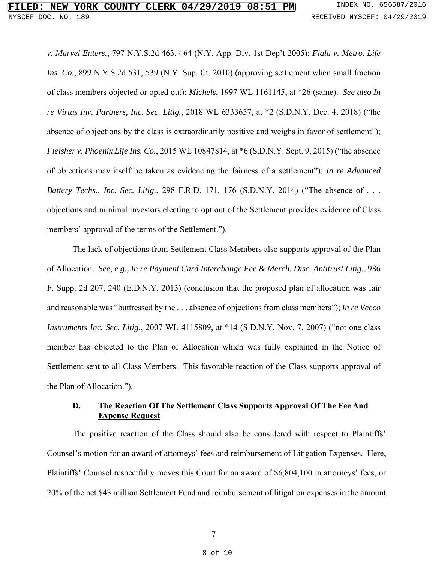*v. Marvel Enters.*, 797 N.Y.S.2d 463, 464 (N.Y. App. Div. 1st Dep't 2005); *Fiala v. Metro. Life Ins. Co.*, 899 N.Y.S.2d 531, 539 (N.Y. Sup. Ct. 2010) (approving settlement when small fraction of class members objected or opted out); *Michels*, 1997 WL 1161145, at \*26 (same). *See also In re Virtus Inv. Partners, Inc. Sec. Litig.*, 2018 WL 6333657, at \*2 (S.D.N.Y. Dec. 4, 2018) ("the absence of objections by the class is extraordinarily positive and weighs in favor of settlement"); *Fleisher v. Phoenix Life Ins. Co.*, 2015 WL 10847814, at \*6 (S.D.N.Y. Sept. 9, 2015) ("the absence of objections may itself be taken as evidencing the fairness of a settlement"); *In re Advanced Battery Techs., Inc. Sec. Litig.*, 298 F.R.D. 171, 176 (S.D.N.Y. 2014) ("The absence of . . . objections and minimal investors electing to opt out of the Settlement provides evidence of Class members' approval of the terms of the Settlement.").

The lack of objections from Settlement Class Members also supports approval of the Plan of Allocation. *See, e.g.*, *In re Payment Card Interchange Fee & Merch. Disc. Antitrust Litig.*, 986 F. Supp. 2d 207, 240 (E.D.N.Y. 2013) (conclusion that the proposed plan of allocation was fair and reasonable was "buttressed by the . . . absence of objections from class members"); *In re Veeco Instruments Inc. Sec. Litig*., 2007 WL 4115809, at \*14 (S.D.N.Y. Nov. 7, 2007) ("not one class member has objected to the Plan of Allocation which was fully explained in the Notice of Settlement sent to all Class Members. This favorable reaction of the Class supports approval of the Plan of Allocation.").

## **D. The Reaction Of The Settlement Class Supports Approval Of The Fee And Expense Request**

The positive reaction of the Class should also be considered with respect to Plaintiffs' Counsel's motion for an award of attorneys' fees and reimbursement of Litigation Expenses. Here, Plaintiffs' Counsel respectfully moves this Court for an award of \$6,804,100 in attorneys' fees, or 20% of the net \$43 million Settlement Fund and reimbursement of litigation expenses in the amount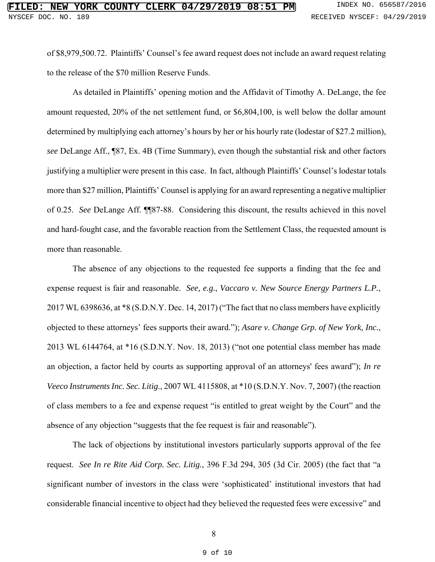of \$8,979,500.72. Plaintiffs' Counsel's fee award request does not include an award request relating to the release of the \$70 million Reserve Funds.

As detailed in Plaintiffs' opening motion and the Affidavit of Timothy A. DeLange, the fee amount requested, 20% of the net settlement fund, or \$6,804,100, is well below the dollar amount determined by multiplying each attorney's hours by her or his hourly rate (lodestar of \$27.2 million), *see* DeLange Aff., ¶87, Ex. 4B (Time Summary), even though the substantial risk and other factors justifying a multiplier were present in this case. In fact, although Plaintiffs' Counsel's lodestar totals more than \$27 million, Plaintiffs' Counsel is applying for an award representing a negative multiplier of 0.25. *See* DeLange Aff. ¶¶87-88. Considering this discount, the results achieved in this novel and hard-fought case, and the favorable reaction from the Settlement Class, the requested amount is more than reasonable.

The absence of any objections to the requested fee supports a finding that the fee and expense request is fair and reasonable. *See, e.g.*, *Vaccaro v. New Source Energy Partners L.P.*, 2017 WL 6398636, at \*8 (S.D.N.Y. Dec. 14, 2017) ("The fact that no class members have explicitly objected to these attorneys' fees supports their award."); *Asare v. Change Grp. of New York, Inc.*, 2013 WL 6144764, at \*16 (S.D.N.Y. Nov. 18, 2013) ("not one potential class member has made an objection, a factor held by courts as supporting approval of an attorneys' fees award"); *In re Veeco Instruments Inc. Sec. Litig.*, 2007 WL 4115808, at \*10 (S.D.N.Y. Nov. 7, 2007) (the reaction of class members to a fee and expense request "is entitled to great weight by the Court" and the absence of any objection "suggests that the fee request is fair and reasonable").

The lack of objections by institutional investors particularly supports approval of the fee request. *See In re Rite Aid Corp. Sec. Litig.*, 396 F.3d 294, 305 (3d Cir. 2005) (the fact that "a significant number of investors in the class were 'sophisticated' institutional investors that had considerable financial incentive to object had they believed the requested fees were excessive" and